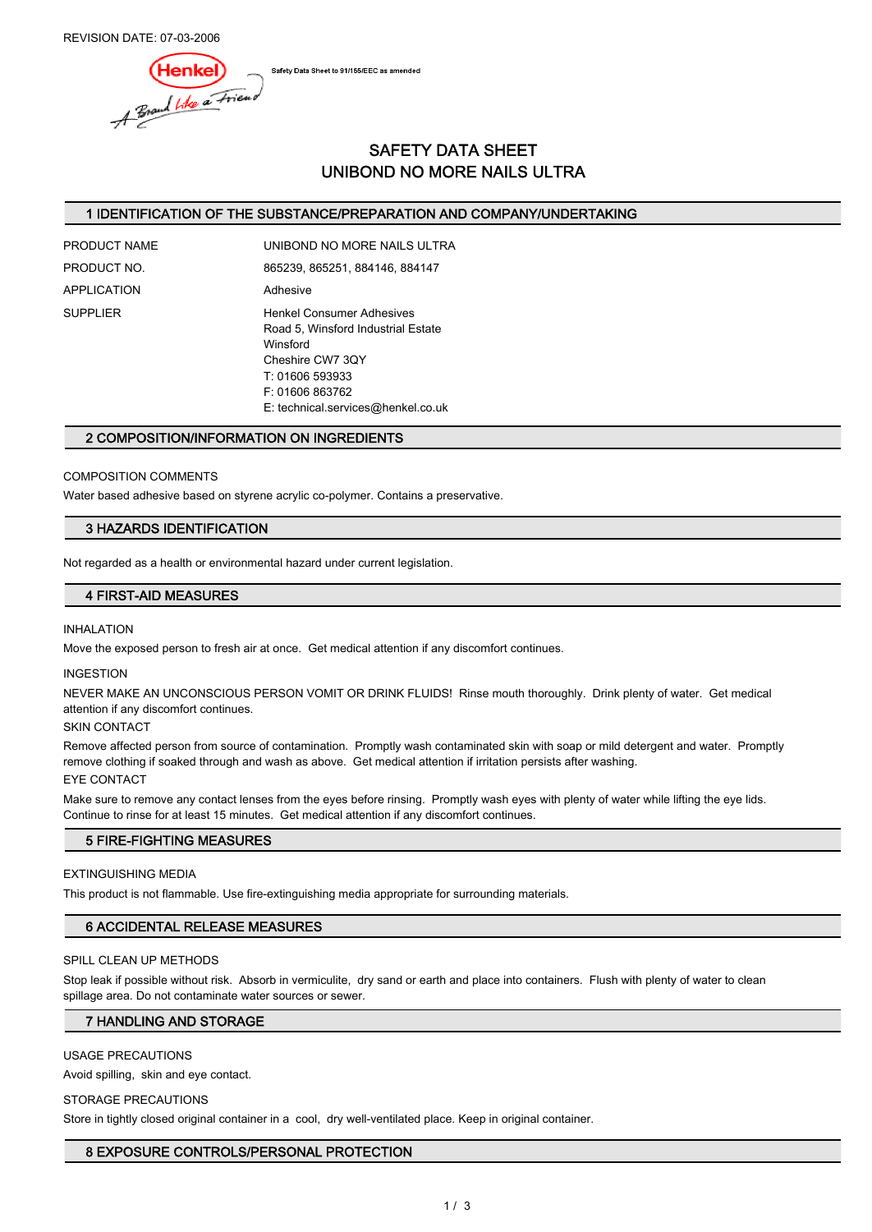REVISION DATE: 07-03-2006

Safety Data Sheet to 91/155/EEC as amended

Henkel)<br>A Brand Whe a Friend

# SAFETY DATA SHEET UNIBOND NO MORE NAILS ULTRA

### 1 IDENTIFICATION OF THE SUBSTANCE/PREPARATION AND COMPANY/UNDERTAKING

| PRODUCT NAME | UNIBOND NO MORE NAILS ULTRA                                                                                                                                                           |  |  |
|--------------|---------------------------------------------------------------------------------------------------------------------------------------------------------------------------------------|--|--|
| PRODUCT NO.  | 865239, 865251, 884146, 884147                                                                                                                                                        |  |  |
| APPLICATION  | Adhesive                                                                                                                                                                              |  |  |
| SUPPLIER     | <b>Henkel Consumer Adhesives</b><br>Road 5, Winsford Industrial Estate<br>Winsford<br>Cheshire CW7 3QY<br>T: 01606 593933<br>F: 01606 863762<br>$F$ : technical services@henkel.co.uk |  |  |

### 2 COMPOSITION/INFORMATION ON INGREDIENTS

### COMPOSITION COMMENTS

Water based adhesive based on styrene acrylic co-polymer. Contains a preservative.

### 3 HAZARDS IDENTIFICATION

Not regarded as a health or environmental hazard under current legislation.

### 4 FIRST-AID MEASURES

### INHALATION

Move the exposed person to fresh air at once. Get medical attention if any discomfort continues.

#### INGESTION

NEVER MAKE AN UNCONSCIOUS PERSON VOMIT OR DRINK FLUIDS! Rinse mouth thoroughly. Drink plenty of water. Get medical attention if any discomfort continues.

#### SKIN CONTACT

Remove affected person from source of contamination. Promptly wash contaminated skin with soap or mild detergent and water. Promptly remove clothing if soaked through and wash as above. Get medical attention if irritation persists after washing.

### EYE CONTACT

Make sure to remove any contact lenses from the eyes before rinsing. Promptly wash eyes with plenty of water while lifting the eye lids. Continue to rinse for at least 15 minutes. Get medical attention if any discomfort continues.

### 5 FIRE-FIGHTING MEASURES

#### EXTINGUISHING MEDIA

This product is not flammable. Use fire-extinguishing media appropriate for surrounding materials.

### 6 ACCIDENTAL RELEASE MEASURES

### SPILL CLEAN UP METHODS

Stop leak if possible without risk. Absorb in vermiculite, dry sand or earth and place into containers. Flush with plenty of water to clean spillage area. Do not contaminate water sources or sewer.

### 7 HANDLING AND STORAGE

### USAGE PRECAUTIONS

Avoid spilling, skin and eye contact.

### STORAGE PRECAUTIONS

Store in tightly closed original container in a cool, dry well-ventilated place. Keep in original container.

### 8 EXPOSURE CONTROLS/PERSONAL PROTECTION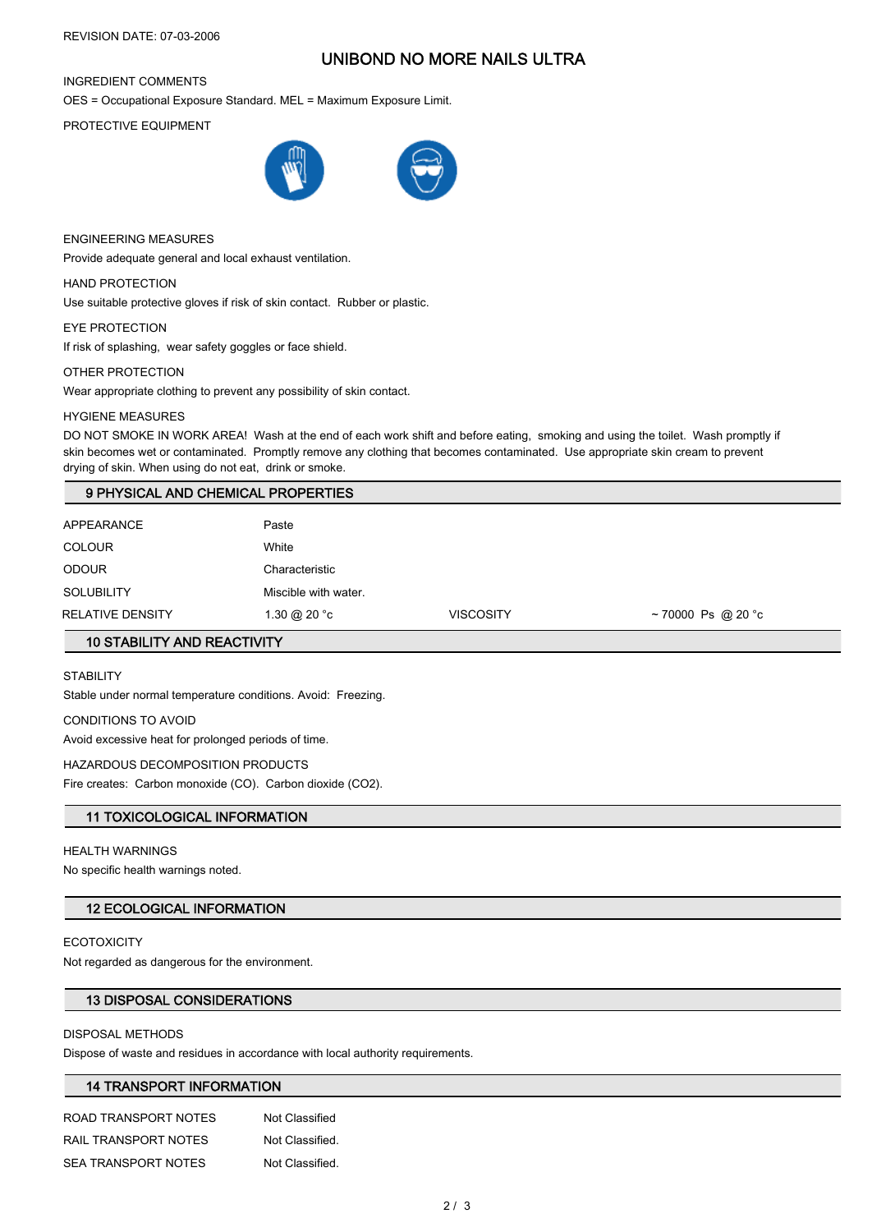# UNIBOND NO MORE NAILS ULTRA

### INGREDIENT COMMENTS

OES = Occupational Exposure Standard. MEL = Maximum Exposure Limit.

PROTECTIVE EQUIPMENT



ENGINEERING MEASURES

Provide adequate general and local exhaust ventilation.

HAND PROTECTION

Use suitable protective gloves if risk of skin contact. Rubber or plastic.

EYE PROTECTION

If risk of splashing, wear safety goggles or face shield.

### OTHER PROTECTION

Wear appropriate clothing to prevent any possibility of skin contact.

### HYGIENE MEASURES

DO NOT SMOKE IN WORK AREA! Wash at the end of each work shift and before eating, smoking and using the toilet. Wash promptly if skin becomes wet or contaminated. Promptly remove any clothing that becomes contaminated. Use appropriate skin cream to prevent drying of skin. When using do not eat, drink or smoke.

### 9 PHYSICAL AND CHEMICAL PROPERTIES

| APPEARANCE        | Paste                           |                  |                   |  |
|-------------------|---------------------------------|------------------|-------------------|--|
| <b>COLOUR</b>     | White                           |                  |                   |  |
| <b>ODOUR</b>      | Characteristic                  |                  |                   |  |
| <b>SOLUBILITY</b> | Miscible with water.            |                  |                   |  |
| RELATIVE DENSITY  | $1.30 \text{ @ } 20 \text{ °C}$ | <b>VISCOSITY</b> | ~70000 Ps @ 20 °c |  |

# 10 STABILITY AND REACTIVITY

**STABILITY** 

Stable under normal temperature conditions. Avoid: Freezing.

CONDITIONS TO AVOID

Avoid excessive heat for prolonged periods of time.

### HAZARDOUS DECOMPOSITION PRODUCTS

Fire creates: Carbon monoxide (CO). Carbon dioxide (CO2).

### 11 TOXICOLOGICAL INFORMATION

#### HEALTH WARNINGS

No specific health warnings noted.

### 12 ECOLOGICAL INFORMATION

### **ECOTOXICITY**

Not regarded as dangerous for the environment.

### 13 DISPOSAL CONSIDERATIONS

### DISPOSAL METHODS

Dispose of waste and residues in accordance with local authority requirements.

# 14 TRANSPORT INFORMATION

ROAD TRANSPORT NOTES Not Classified RAIL TRANSPORT NOTES Not Classified. SEA TRANSPORT NOTES Not Classified.